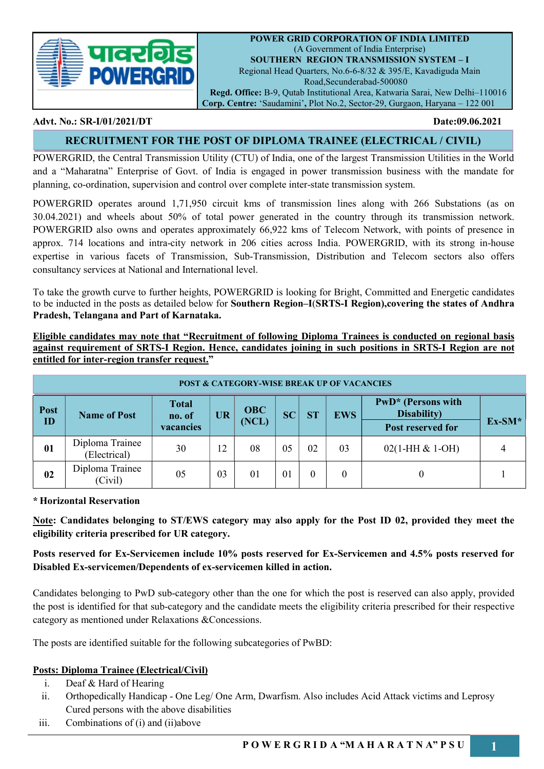

POWER GRID CORPORATION OF INDIA LIMITED (A Government of India Enterprise) SOUTHERN REGION TRANSMISSION SYSTEM – I Regional Head Quarters, No.6-6-8/32 & 395/E, Kavadiguda Main Road,Secunderabad-500080 Regd. Office: B-9, Qutab Institutional Area, Katwaria Sarai, New Delhi–110016

Corp. Centre: 'Saudamini', Plot No.2, Sector-29, Gurgaon, Haryana – 122 001

#### Advt. No.: SR-I/01/2021/DT Date:09.06.2021

# RECRUITMENT FOR THE POST OF DIPLOMA TRAINEE (ELECTRICAL / CIVIL)

POWERGRID, the Central Transmission Utility (CTU) of India, one of the largest Transmission Utilities in the World and a "Maharatna" Enterprise of Govt. of India is engaged in power transmission business with the mandate for planning, co-ordination, supervision and control over complete inter-state transmission system.

POWERGRID operates around 1,71,950 circuit kms of transmission lines along with 266 Substations (as on 30.04.2021) and wheels about 50% of total power generated in the country through its transmission network. POWERGRID also owns and operates approximately 66,922 kms of Telecom Network, with points of presence in approx. 714 locations and intra-city network in 206 cities across India. POWERGRID, with its strong in-house expertise in various facets of Transmission, Sub-Transmission, Distribution and Telecom sectors also offers consultancy services at National and International level.

To take the growth curve to further heights, POWERGRID is looking for Bright, Committed and Energetic candidates to be inducted in the posts as detailed below for Southern Region–I(SRTS-I Region),covering the states of Andhra Pradesh, Telangana and Part of Karnataka.

Eligible candidates may note that "Recruitment of following Diploma Trainees is conducted on regional basis against requirement of SRTS-I Region. Hence, candidates joining in such positions in SRTS-I Region are not entitled for inter-region transfer request."

| <b>POST &amp; CATEGORY-WISE BREAK UP OF VACANCIES</b> |                                 |                        |           |            |           |           |            |                                   |          |
|-------------------------------------------------------|---------------------------------|------------------------|-----------|------------|-----------|-----------|------------|-----------------------------------|----------|
| Post                                                  | <b>Name of Post</b>             | <b>Total</b><br>no. of | <b>UR</b> | <b>OBC</b> | <b>SC</b> | <b>ST</b> | <b>EWS</b> | PwD* (Persons with<br>Disability) |          |
| ID                                                    |                                 | vacancies              |           | (NCL)      |           |           |            | Post reserved for                 | $Ex-SM*$ |
| 01                                                    | Diploma Trainee<br>(Electrical) | 30                     | 12        | 08         | 05        | 02        | 03         | $02(1-HH & 1-OH)$                 |          |
| 02                                                    | Diploma Trainee<br>(Civil)      | 05                     | 03        | 01         | 01        | $\theta$  | $\theta$   |                                   |          |

\* Horizontal Reservation

Note: Candidates belonging to ST/EWS category may also apply for the Post ID 02, provided they meet the eligibility criteria prescribed for UR category.

Posts reserved for Ex-Servicemen include 10% posts reserved for Ex-Servicemen and 4.5% posts reserved for Disabled Ex-servicemen/Dependents of ex-servicemen killed in action.

Candidates belonging to PwD sub-category other than the one for which the post is reserved can also apply, provided the post is identified for that sub-category and the candidate meets the eligibility criteria prescribed for their respective category as mentioned under Relaxations &Concessions.

The posts are identified suitable for the following subcategories of PwBD:

# Posts: Diploma Trainee (Electrical/Civil)

- i. Deaf & Hard of Hearing
- ii. Orthopedically Handicap One Leg/ One Arm, Dwarfism. Also includes Acid Attack victims and Leprosy Cured persons with the above disabilities
- iii. Combinations of (i) and (ii)above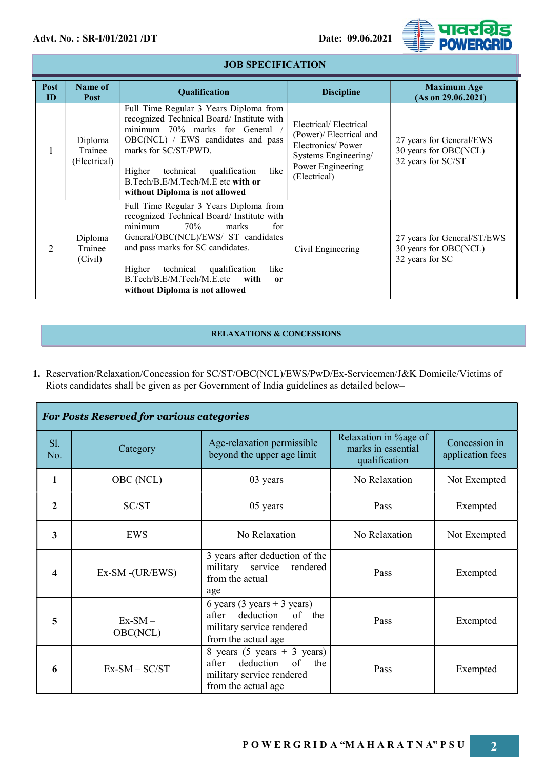

| Post<br>ID     | Name of<br>Post                    | Qualification                                                                                                                                                                                                                                                                                                                | <b>Discipline</b>                                                                                                                  | <b>Maximum Age</b><br>(As on 29.06.2021)                                |
|----------------|------------------------------------|------------------------------------------------------------------------------------------------------------------------------------------------------------------------------------------------------------------------------------------------------------------------------------------------------------------------------|------------------------------------------------------------------------------------------------------------------------------------|-------------------------------------------------------------------------|
|                | Diploma<br>Trainee<br>(Electrical) | Full Time Regular 3 Years Diploma from<br>recognized Technical Board/ Institute with<br>minimum 70% marks for General<br>OBC(NCL) / EWS candidates and pass<br>marks for SC/ST/PWD.<br>technical<br>qualification<br>like<br>Higher<br>B.Tech/B.E/M.Tech/M.E etc with or<br>without Diploma is not allowed                   | Electrical/Electrical<br>(Power)/ Electrical and<br>Electronics/Power<br>Systems Engineering/<br>Power Engineering<br>(Electrical) | 27 years for General/EWS<br>30 years for OBC(NCL)<br>32 years for SC/ST |
| $\overline{2}$ | Diploma<br>Trainee<br>(Civil)      | Full Time Regular 3 Years Diploma from<br>recognized Technical Board/ Institute with<br>70%<br>marks<br>for<br>minimum<br>General/OBC(NCL)/EWS/ ST candidates<br>and pass marks for SC candidates.<br>technical qualification<br>Higher<br>like<br>B.Tech/B.E/M.Tech/M.E.etc<br>with<br>or<br>without Diploma is not allowed | Civil Engineering                                                                                                                  | 27 years for General/ST/EWS<br>30 years for OBC(NCL)<br>32 years for SC |

# JOB SPECIFICATION

#### RELAXATIONS & CONCESSIONS

1. Reservation/Relaxation/Concession for SC/ST/OBC(NCL)/EWS/PwD/Ex-Servicemen/J&K Domicile/Victims of Riots candidates shall be given as per Government of India guidelines as detailed below–

| <b>For Posts Reserved for various categories</b> |                       |                                                                                                                                   |                                                              |              |  |
|--------------------------------------------------|-----------------------|-----------------------------------------------------------------------------------------------------------------------------------|--------------------------------------------------------------|--------------|--|
| SI.<br>No.                                       | Category              | Age-relaxation permissible<br>beyond the upper age limit                                                                          | Relaxation in %age of<br>marks in essential<br>qualification |              |  |
| 1                                                | OBC (NCL)             | 03 years                                                                                                                          | No Relaxation                                                | Not Exempted |  |
| $\overline{2}$                                   | SC/ST                 | 05 years                                                                                                                          | Pass                                                         | Exempted     |  |
| 3                                                | EWS                   | No Relaxation                                                                                                                     | No Relaxation                                                | Not Exempted |  |
| 4                                                | Ex-SM-(UR/EWS)        | 3 years after deduction of the<br>military service<br>rendered<br>from the actual<br>age                                          | Pass                                                         | Exempted     |  |
| 5                                                | $Ex-SM -$<br>OBC(NCL) | 6 years (3 years + 3 years)<br>deduction<br>of<br>after<br>the<br>military service rendered<br>from the actual age                | Pass                                                         | Exempted     |  |
| 6                                                | $Ex-SM - SC/ST$       | 8 years $(5 \text{ years} + 3 \text{ years})$<br>deduction of<br>the<br>after<br>military service rendered<br>from the actual age | Pass                                                         | Exempted     |  |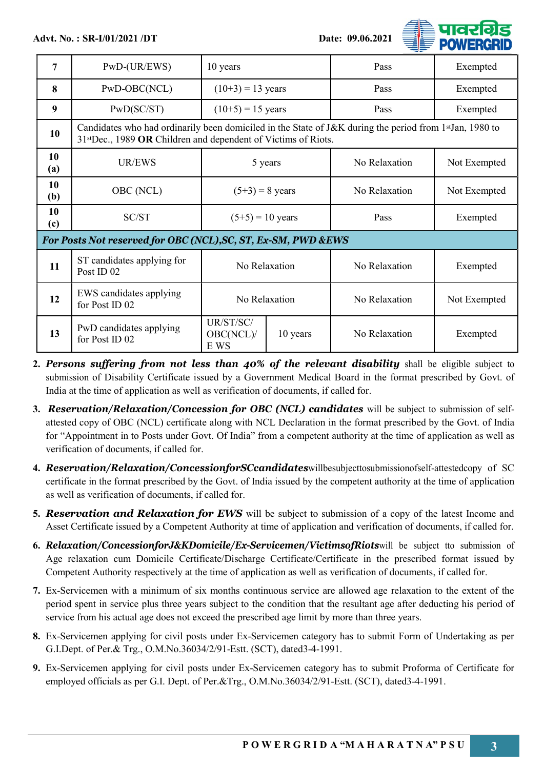

| 7                                                             | $PWD$ -(UR/EWS)                                                                                                                                                          | 10 years                       |          | Pass          | Exempted     |
|---------------------------------------------------------------|--------------------------------------------------------------------------------------------------------------------------------------------------------------------------|--------------------------------|----------|---------------|--------------|
| 8                                                             | PwD-OBC(NCL)                                                                                                                                                             | $(10+3) = 13$ years            |          | Pass          | Exempted     |
| 9                                                             | PwD(SC/ST)                                                                                                                                                               | $(10+5) = 15$ years            |          | Pass          | Exempted     |
| 10                                                            | Candidates who had ordinarily been domiciled in the State of J&K during the period from 1stJan, 1980 to<br>31stDec., 1989 OR Children and dependent of Victims of Riots. |                                |          |               |              |
| 10<br>(a)                                                     | UR/EWS                                                                                                                                                                   | 5 years                        |          | No Relaxation | Not Exempted |
| 10<br>(b)                                                     | OBC (NCL)                                                                                                                                                                | $(5+3) = 8$ years              |          | No Relaxation | Not Exempted |
| 10<br>(c)                                                     | SC/ST                                                                                                                                                                    | $(5+5) = 10$ years             |          | Pass          | Exempted     |
| For Posts Not reserved for OBC (NCL), SC, ST, Ex-SM, PWD &EWS |                                                                                                                                                                          |                                |          |               |              |
| 11                                                            | ST candidates applying for<br>Post ID <sub>02</sub>                                                                                                                      | No Relaxation                  |          | No Relaxation | Exempted     |
| 12                                                            | EWS candidates applying<br>for Post ID 02                                                                                                                                | No Relaxation                  |          | No Relaxation | Not Exempted |
| 13                                                            | PwD candidates applying<br>for Post ID 02                                                                                                                                | UR/ST/SC/<br>OBC(NCL)/<br>E WS | 10 years | No Relaxation | Exempted     |

- 2. Persons suffering from not less than 40% of the relevant disability shall be eligible subject to submission of Disability Certificate issued by a Government Medical Board in the format prescribed by Govt. of India at the time of application as well as verification of documents, if called for.
- 3. Reservation/Relaxation/Concession for OBC (NCL) candidates will be subject to submission of selfattested copy of OBC (NCL) certificate along with NCL Declaration in the format prescribed by the Govt. of India for "Appointment in to Posts under Govt. Of India" from a competent authority at the time of application as well as verification of documents, if called for.
- 4. Reservation/Relaxation/ConcessionforSCcandidateswillbesubjecttosubmissionofself-attestedcopy of SC certificate in the format prescribed by the Govt. of India issued by the competent authority at the time of application as well as verification of documents, if called for.
- 5. Reservation and Relaxation for EWS will be subject to submission of a copy of the latest Income and Asset Certificate issued by a Competent Authority at time of application and verification of documents, if called for.
- 6. Relaxation/ConcessionforJ&KDomicile/Ex-Servicemen/VictimsofRiots will be subject tto submission of Age relaxation cum Domicile Certificate/Discharge Certificate/Certificate in the prescribed format issued by Competent Authority respectively at the time of application as well as verification of documents, if called for.
- 7. Ex-Servicemen with a minimum of six months continuous service are allowed age relaxation to the extent of the period spent in service plus three years subject to the condition that the resultant age after deducting his period of service from his actual age does not exceed the prescribed age limit by more than three years.
- 8. Ex-Servicemen applying for civil posts under Ex-Servicemen category has to submit Form of Undertaking as per G.I.Dept. of Per.& Trg., O.M.No.36034/2/91-Estt. (SCT), dated3-4-1991.
- 9. Ex-Servicemen applying for civil posts under Ex-Servicemen category has to submit Proforma of Certificate for employed officials as per G.I. Dept. of Per.&Trg., O.M.No.36034/2/91-Estt. (SCT), dated3-4-1991.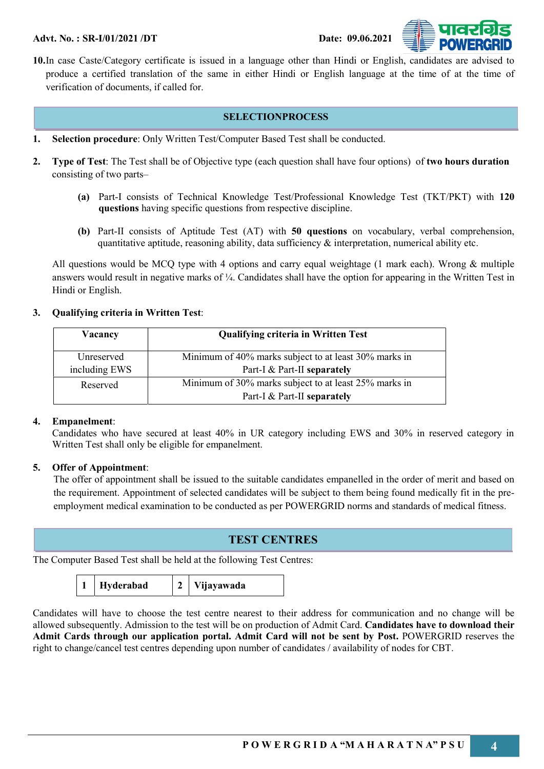

10.In case Caste/Category certificate is issued in a language other than Hindi or English, candidates are advised to produce a certified translation of the same in either Hindi or English language at the time of at the time of verification of documents, if called for.

#### SELECTIONPROCESS

- 1. Selection procedure: Only Written Test/Computer Based Test shall be conducted.
- 2. Type of Test: The Test shall be of Objective type (each question shall have four options) of two hours duration consisting of two parts–
	- (a) Part-I consists of Technical Knowledge Test/Professional Knowledge Test (TKT/PKT) with 120 questions having specific questions from respective discipline.
	- (b) Part-II consists of Aptitude Test (AT) with 50 questions on vocabulary, verbal comprehension, quantitative aptitude, reasoning ability, data sufficiency  $\&$  interpretation, numerical ability etc.

All questions would be MCQ type with 4 options and carry equal weightage (1 mark each). Wrong & multiple answers would result in negative marks of ¼. Candidates shall have the option for appearing in the Written Test in Hindi or English.

# 3. Qualifying criteria in Written Test:

| Vacancy           | <b>Qualifying criteria in Written Test</b>            |
|-------------------|-------------------------------------------------------|
| <b>Unreserved</b> | Minimum of 40% marks subject to at least 30% marks in |
| including EWS     | Part-I & Part-II separately                           |
| Reserved          | Minimum of 30% marks subject to at least 25% marks in |
|                   | Part-I & Part-II separately                           |

# 4. Empanelment:

Candidates who have secured at least 40% in UR category including EWS and 30% in reserved category in Written Test shall only be eligible for empanelment.

# 5. Offer of Appointment:

The offer of appointment shall be issued to the suitable candidates empanelled in the order of merit and based on the requirement. Appointment of selected candidates will be subject to them being found medically fit in the preemployment medical examination to be conducted as per POWERGRID norms and standards of medical fitness.

# TEST CENTRES

The Computer Based Test shall be held at the following Test Centres:

1 Hyderabad 2 Vijayawada

Candidates will have to choose the test centre nearest to their address for communication and no change will be allowed subsequently. Admission to the test will be on production of Admit Card. Candidates have to download their Admit Cards through our application portal. Admit Card will not be sent by Post. POWERGRID reserves the right to change/cancel test centres depending upon number of candidates / availability of nodes for CBT.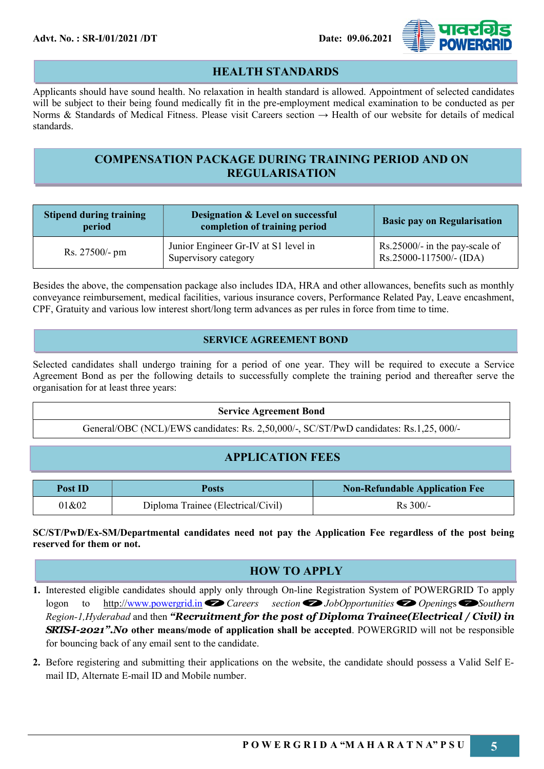

# HEALTH STANDARDS

Applicants should have sound health. No relaxation in health standard is allowed. Appointment of selected candidates will be subject to their being found medically fit in the pre-employment medical examination to be conducted as per Norms & Standards of Medical Fitness. Please visit Careers section → Health of our website for details of medical standards.

# COMPENSATION PACKAGE DURING TRAINING PERIOD AND ON REGULARISATION

| <b>Stipend during training</b><br>period | Designation & Level on successful<br>completion of training period | <b>Basic pay on Regularisation</b>                           |
|------------------------------------------|--------------------------------------------------------------------|--------------------------------------------------------------|
| Rs. 27500/- pm                           | Junior Engineer Gr-IV at S1 level in<br>Supervisory category       | $Rs.25000/-$ in the pay-scale of<br>$Rs.25000-117500/-(IDA)$ |

Besides the above, the compensation package also includes IDA, HRA and other allowances, benefits such as monthly conveyance reimbursement, medical facilities, various insurance covers, Performance Related Pay, Leave encashment, CPF, Gratuity and various low interest short/long term advances as per rules in force from time to time.

### SERVICE AGREEMENT BOND

Selected candidates shall undergo training for a period of one year. They will be required to execute a Service Agreement Bond as per the following details to successfully complete the training period and thereafter serve the organisation for at least three years:

#### Service Agreement Bond

General/OBC (NCL)/EWS candidates: Rs. 2,50,000/-, SC/ST/PwD candidates: Rs.1,25, 000/-

# APPLICATION FEES

| Post ID | Posts                              | <b>Non-Refundable Application Fee</b> |
|---------|------------------------------------|---------------------------------------|
| 01&02   | Diploma Trainee (Electrical/Civil) | $Rs 300/-$                            |

SC/ST/PwD/Ex-SM/Departmental candidates need not pay the Application Fee regardless of the post being reserved for them or not.

# HOW TO APPLY

- 1. Interested eligible candidates should apply only through On-line Registration System of POWERGRID To apply logon to http://www.powergrid.in $\bigotimes$  Careers section $\bigotimes$  JobOpportunities  $\bigotimes$  Openings  $\bigotimes$  Southern Region-1, Hyderabad and then "Recruitment for the post of Diploma Trainee(Electrical / Civil) in **SRTS-I-2021". No other means/mode of application shall be accepted.** POWERGRID will not be responsible for bouncing back of any email sent to the candidate.
- 2. Before registering and submitting their applications on the website, the candidate should possess a Valid Self Email ID, Alternate E-mail ID and Mobile number.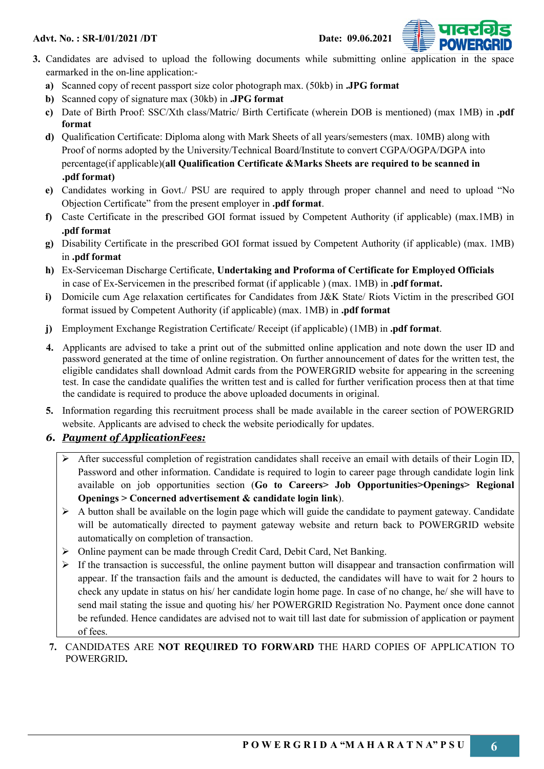



- 3. Candidates are advised to upload the following documents while submitting online application in the space earmarked in the on-line application:
	- a) Scanned copy of recent passport size color photograph max. (50kb) in .JPG format
	- b) Scanned copy of signature max (30kb) in .JPG format
	- c) Date of Birth Proof: SSC/Xth class/Matric/ Birth Certificate (wherein DOB is mentioned) (max 1MB) in .pdf format
	- d) Qualification Certificate: Diploma along with Mark Sheets of all years/semesters (max. 10MB) along with Proof of norms adopted by the University/Technical Board/Institute to convert CGPA/OGPA/DGPA into percentage(if applicable)(all Qualification Certificate &Marks Sheets are required to be scanned in .pdf format)
	- e) Candidates working in Govt./ PSU are required to apply through proper channel and need to upload "No Objection Certificate" from the present employer in .pdf format.
	- f) Caste Certificate in the prescribed GOI format issued by Competent Authority (if applicable) (max.1MB) in .pdf format
	- g) Disability Certificate in the prescribed GOI format issued by Competent Authority (if applicable) (max. 1MB) in .pdf format
	- h) Ex-Serviceman Discharge Certificate, Undertaking and Proforma of Certificate for Employed Officials in case of Ex-Servicemen in the prescribed format (if applicable ) (max. 1MB) in .pdf format.
	- i) Domicile cum Age relaxation certificates for Candidates from J&K State/ Riots Victim in the prescribed GOI format issued by Competent Authority (if applicable) (max. 1MB) in .pdf format
	- j) Employment Exchange Registration Certificate/ Receipt (if applicable) (1MB) in .pdf format.
	- 4. Applicants are advised to take a print out of the submitted online application and note down the user ID and password generated at the time of online registration. On further announcement of dates for the written test, the eligible candidates shall download Admit cards from the POWERGRID website for appearing in the screening test. In case the candidate qualifies the written test and is called for further verification process then at that time the candidate is required to produce the above uploaded documents in original.
	- 5. Information regarding this recruitment process shall be made available in the career section of POWERGRID website. Applicants are advised to check the website periodically for updates.

# 6. Payment of ApplicationFees:

- After successful completion of registration candidates shall receive an email with details of their Login ID, Password and other information. Candidate is required to login to career page through candidate login link available on job opportunities section (Go to Careers> Job Opportunities>Openings> Regional Openings > Concerned advertisement & candidate login link).
- $\triangleright$  A button shall be available on the login page which will guide the candidate to payment gateway. Candidate will be automatically directed to payment gateway website and return back to POWERGRID website automatically on completion of transaction.
- Online payment can be made through Credit Card, Debit Card, Net Banking.
- $\triangleright$  If the transaction is successful, the online payment button will disappear and transaction confirmation will appear. If the transaction fails and the amount is deducted, the candidates will have to wait for 2 hours to check any update in status on his/ her candidate login home page. In case of no change, he/ she will have to send mail stating the issue and quoting his/ her POWERGRID Registration No. Payment once done cannot be refunded. Hence candidates are advised not to wait till last date for submission of application or payment of fees.
- 7. CANDIDATES ARE NOT REQUIRED TO FORWARD THE HARD COPIES OF APPLICATION TO POWERGRID.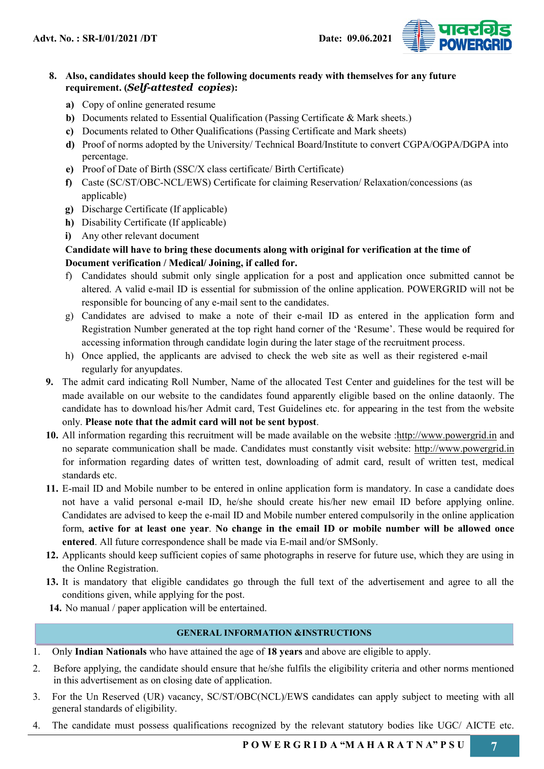

### 8. Also, candidates should keep the following documents ready with themselves for any future requirement. (Self-attested copies):

- a) Copy of online generated resume
- b) Documents related to Essential Qualification (Passing Certificate & Mark sheets.)
- c) Documents related to Other Qualifications (Passing Certificate and Mark sheets)
- d) Proof of norms adopted by the University/ Technical Board/Institute to convert CGPA/OGPA/DGPA into percentage.
- e) Proof of Date of Birth (SSC/X class certificate/ Birth Certificate)
- f) Caste (SC/ST/OBC-NCL/EWS) Certificate for claiming Reservation/ Relaxation/concessions (as applicable)
- g) Discharge Certificate (If applicable)
- h) Disability Certificate (If applicable)
- i) Any other relevant document

# Candidate will have to bring these documents along with original for verification at the time of Document verification / Medical/ Joining, if called for.

- f) Candidates should submit only single application for a post and application once submitted cannot be altered. A valid e-mail ID is essential for submission of the online application. POWERGRID will not be responsible for bouncing of any e-mail sent to the candidates.
- g) Candidates are advised to make a note of their e-mail ID as entered in the application form and Registration Number generated at the top right hand corner of the 'Resume'. These would be required for accessing information through candidate login during the later stage of the recruitment process.
- h) Once applied, the applicants are advised to check the web site as well as their registered e-mail regularly for anyupdates.
- 9. The admit card indicating Roll Number, Name of the allocated Test Center and guidelines for the test will be made available on our website to the candidates found apparently eligible based on the online dataonly. The candidate has to download his/her Admit card, Test Guidelines etc. for appearing in the test from the website only. Please note that the admit card will not be sent bypost.
- 10. All information regarding this recruitment will be made available on the website :http://www.powergrid.in and no separate communication shall be made. Candidates must constantly visit website: http://www.powergrid.in for information regarding dates of written test, downloading of admit card, result of written test, medical standards etc.
- 11. E-mail ID and Mobile number to be entered in online application form is mandatory. In case a candidate does not have a valid personal e-mail ID, he/she should create his/her new email ID before applying online. Candidates are advised to keep the e-mail ID and Mobile number entered compulsorily in the online application form, active for at least one year. No change in the email ID or mobile number will be allowed once entered. All future correspondence shall be made via E-mail and/or SMSonly.
- 12. Applicants should keep sufficient copies of same photographs in reserve for future use, which they are using in the Online Registration.
- 13. It is mandatory that eligible candidates go through the full text of the advertisement and agree to all the conditions given, while applying for the post.
- 14. No manual / paper application will be entertained.

#### GENERAL INFORMATION &INSTRUCTIONS

- 1. Only Indian Nationals who have attained the age of 18 years and above are eligible to apply.
- 2. Before applying, the candidate should ensure that he/she fulfils the eligibility criteria and other norms mentioned in this advertisement as on closing date of application.
- 3. For the Un Reserved (UR) vacancy, SC/ST/OBC(NCL)/EWS candidates can apply subject to meeting with all general standards of eligibility.
- 4. The candidate must possess qualifications recognized by the relevant statutory bodies like UGC/ AICTE etc.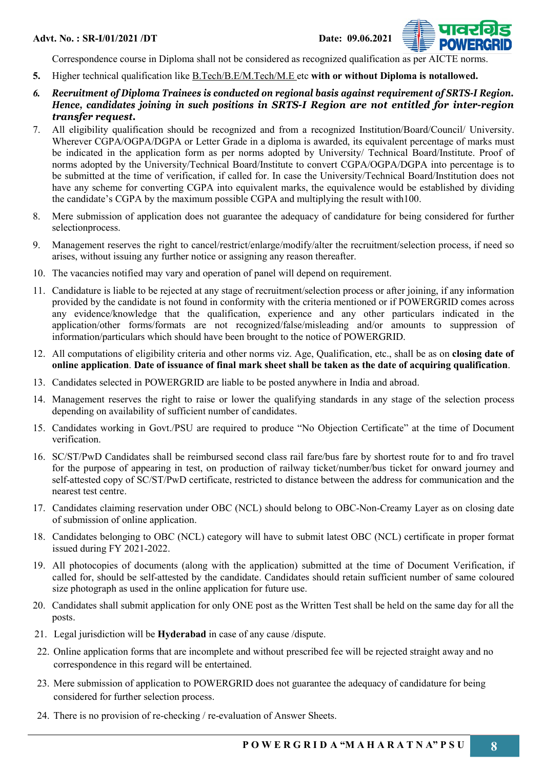



- 5. Higher technical qualification like B.Tech/B.E/M.Tech/M.E etc with or without Diploma is notallowed.
- 6. Recruitment of Diploma Trainees is conducted on regional basis against requirement of SRTS-I Region. Hence, candidates joining in such positions in SRTS-I Region are not entitled for inter-region transfer request.
- 7. All eligibility qualification should be recognized and from a recognized Institution/Board/Council/ University. Wherever CGPA/OGPA/DGPA or Letter Grade in a diploma is awarded, its equivalent percentage of marks must be indicated in the application form as per norms adopted by University/ Technical Board/Institute. Proof of norms adopted by the University/Technical Board/Institute to convert CGPA/OGPA/DGPA into percentage is to be submitted at the time of verification, if called for. In case the University/Technical Board/Institution does not have any scheme for converting CGPA into equivalent marks, the equivalence would be established by dividing the candidate's CGPA by the maximum possible CGPA and multiplying the result with100.
- 8. Mere submission of application does not guarantee the adequacy of candidature for being considered for further selectionprocess.
- 9. Management reserves the right to cancel/restrict/enlarge/modify/alter the recruitment/selection process, if need so arises, without issuing any further notice or assigning any reason thereafter.
- 10. The vacancies notified may vary and operation of panel will depend on requirement.
- 11. Candidature is liable to be rejected at any stage of recruitment/selection process or after joining, if any information provided by the candidate is not found in conformity with the criteria mentioned or if POWERGRID comes across any evidence/knowledge that the qualification, experience and any other particulars indicated in the application/other forms/formats are not recognized/false/misleading and/or amounts to suppression of information/particulars which should have been brought to the notice of POWERGRID.
- 12. All computations of eligibility criteria and other norms viz. Age, Qualification, etc., shall be as on closing date of online application. Date of issuance of final mark sheet shall be taken as the date of acquiring qualification.
- 13. Candidates selected in POWERGRID are liable to be posted anywhere in India and abroad.
- 14. Management reserves the right to raise or lower the qualifying standards in any stage of the selection process depending on availability of sufficient number of candidates.
- 15. Candidates working in Govt./PSU are required to produce "No Objection Certificate" at the time of Document verification.
- 16. SC/ST/PwD Candidates shall be reimbursed second class rail fare/bus fare by shortest route for to and fro travel for the purpose of appearing in test, on production of railway ticket/number/bus ticket for onward journey and self-attested copy of SC/ST/PwD certificate, restricted to distance between the address for communication and the nearest test centre.
- 17. Candidates claiming reservation under OBC (NCL) should belong to OBC-Non-Creamy Layer as on closing date of submission of online application.
- 18. Candidates belonging to OBC (NCL) category will have to submit latest OBC (NCL) certificate in proper format issued during FY 2021-2022.
- 19. All photocopies of documents (along with the application) submitted at the time of Document Verification, if called for, should be self-attested by the candidate. Candidates should retain sufficient number of same coloured size photograph as used in the online application for future use.
- 20. Candidates shall submit application for only ONE post as the Written Test shall be held on the same day for all the posts.
- 21. Legal jurisdiction will be Hyderabad in case of any cause /dispute.
- 22. Online application forms that are incomplete and without prescribed fee will be rejected straight away and no correspondence in this regard will be entertained.
- 23. Mere submission of application to POWERGRID does not guarantee the adequacy of candidature for being considered for further selection process.
- 24. There is no provision of re-checking / re-evaluation of Answer Sheets.